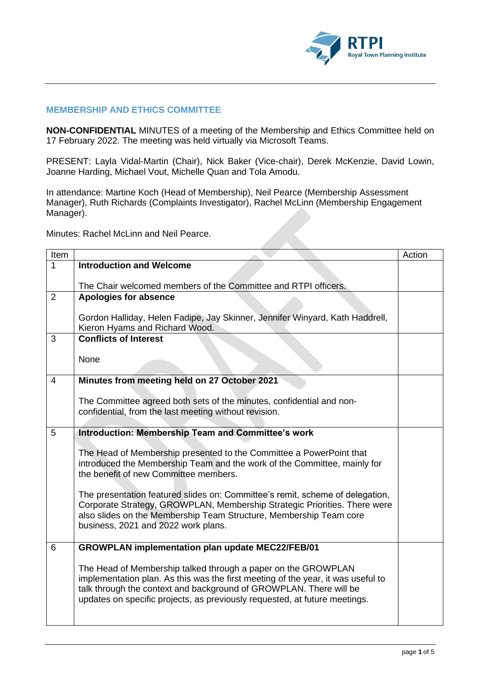

## **MEMBERSHIP AND ETHICS COMMITTEE**

**NON-CONFIDENTIAL** MINUTES of a meeting of the Membership and Ethics Committee held on 17 February 2022. The meeting was held virtually via Microsoft Teams.

PRESENT: Layla Vidal-Martin (Chair), Nick Baker (Vice-chair), Derek McKenzie, David Lowin, Joanne Harding, Michael Vout, Michelle Quan and Tola Amodu.

In attendance: Martine Koch (Head of Membership), Neil Pearce (Membership Assessment Manager), Ruth Richards (Complaints Investigator), Rachel McLinn (Membership Engagement Manager).

Minutes: Rachel McLinn and Neil Pearce.

| Item |                                                                                  | Action |
|------|----------------------------------------------------------------------------------|--------|
| 1    | <b>Introduction and Welcome</b>                                                  |        |
|      |                                                                                  |        |
|      | The Chair welcomed members of the Committee and RTPI officers.                   |        |
| 2    | <b>Apologies for absence</b>                                                     |        |
|      | Gordon Halliday, Helen Fadipe, Jay Skinner, Jennifer Winyard, Kath Haddrell,     |        |
|      | Kieron Hyams and Richard Wood.                                                   |        |
| 3    | <b>Conflicts of Interest</b>                                                     |        |
|      |                                                                                  |        |
|      | None                                                                             |        |
| 4    | Minutes from meeting held on 27 October 2021                                     |        |
|      |                                                                                  |        |
|      | The Committee agreed both sets of the minutes, confidential and non-             |        |
|      | confidential, from the last meeting without revision.                            |        |
| 5    | Introduction: Membership Team and Committee's work                               |        |
|      |                                                                                  |        |
|      | The Head of Membership presented to the Committee a PowerPoint that              |        |
|      | introduced the Membership Team and the work of the Committee, mainly for         |        |
|      | the benefit of new Committee members.                                            |        |
|      | The presentation featured slides on: Committee's remit, scheme of delegation,    |        |
|      | Corporate Strategy, GROWPLAN, Membership Strategic Priorities. There were        |        |
|      | also slides on the Membership Team Structure, Membership Team core               |        |
|      | business, 2021 and 2022 work plans.                                              |        |
| 6    | <b>GROWPLAN implementation plan update MEC22/FEB/01</b>                          |        |
|      |                                                                                  |        |
|      | The Head of Membership talked through a paper on the GROWPLAN                    |        |
|      | implementation plan. As this was the first meeting of the year, it was useful to |        |
|      | talk through the context and background of GROWPLAN. There will be               |        |
|      | updates on specific projects, as previously requested, at future meetings.       |        |
|      |                                                                                  |        |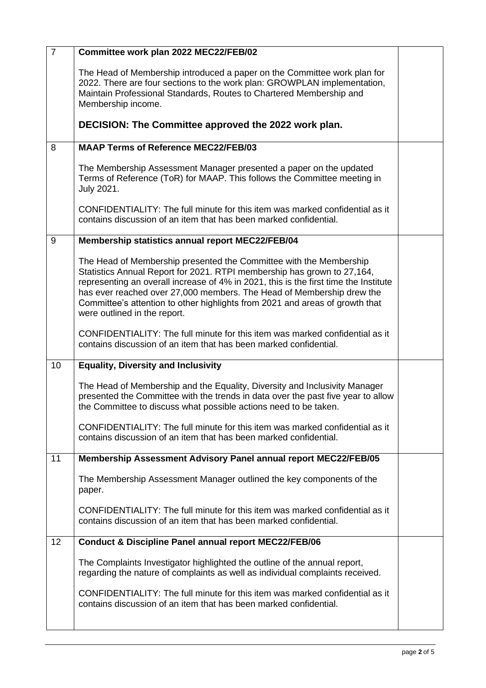| $\overline{7}$ | Committee work plan 2022 MEC22/FEB/02                                                                                                                                                                                                                                                                                                                                                                                          |  |
|----------------|--------------------------------------------------------------------------------------------------------------------------------------------------------------------------------------------------------------------------------------------------------------------------------------------------------------------------------------------------------------------------------------------------------------------------------|--|
|                | The Head of Membership introduced a paper on the Committee work plan for<br>2022. There are four sections to the work plan: GROWPLAN implementation,<br>Maintain Professional Standards, Routes to Chartered Membership and<br>Membership income.                                                                                                                                                                              |  |
|                | DECISION: The Committee approved the 2022 work plan.                                                                                                                                                                                                                                                                                                                                                                           |  |
| 8              | <b>MAAP Terms of Reference MEC22/FEB/03</b>                                                                                                                                                                                                                                                                                                                                                                                    |  |
|                | The Membership Assessment Manager presented a paper on the updated<br>Terms of Reference (ToR) for MAAP. This follows the Committee meeting in<br>July 2021.                                                                                                                                                                                                                                                                   |  |
|                | CONFIDENTIALITY: The full minute for this item was marked confidential as it<br>contains discussion of an item that has been marked confidential.                                                                                                                                                                                                                                                                              |  |
| 9              | Membership statistics annual report MEC22/FEB/04                                                                                                                                                                                                                                                                                                                                                                               |  |
|                | The Head of Membership presented the Committee with the Membership<br>Statistics Annual Report for 2021. RTPI membership has grown to 27,164,<br>representing an overall increase of 4% in 2021, this is the first time the Institute<br>has ever reached over 27,000 members. The Head of Membership drew the<br>Committee's attention to other highlights from 2021 and areas of growth that<br>were outlined in the report. |  |
|                | CONFIDENTIALITY: The full minute for this item was marked confidential as it<br>contains discussion of an item that has been marked confidential.                                                                                                                                                                                                                                                                              |  |
| 10             | <b>Equality, Diversity and Inclusivity</b>                                                                                                                                                                                                                                                                                                                                                                                     |  |
|                | The Head of Membership and the Equality, Diversity and Inclusivity Manager<br>presented the Committee with the trends in data over the past five year to allow<br>the Committee to discuss what possible actions need to be taken.                                                                                                                                                                                             |  |
|                | CONFIDENTIALITY: The full minute for this item was marked confidential as it<br>contains discussion of an item that has been marked confidential.                                                                                                                                                                                                                                                                              |  |
| 11             | Membership Assessment Advisory Panel annual report MEC22/FEB/05                                                                                                                                                                                                                                                                                                                                                                |  |
|                | The Membership Assessment Manager outlined the key components of the<br>paper.                                                                                                                                                                                                                                                                                                                                                 |  |
|                | CONFIDENTIALITY: The full minute for this item was marked confidential as it<br>contains discussion of an item that has been marked confidential.                                                                                                                                                                                                                                                                              |  |
| 12             | <b>Conduct &amp; Discipline Panel annual report MEC22/FEB/06</b>                                                                                                                                                                                                                                                                                                                                                               |  |
|                | The Complaints Investigator highlighted the outline of the annual report,<br>regarding the nature of complaints as well as individual complaints received.                                                                                                                                                                                                                                                                     |  |
|                | CONFIDENTIALITY: The full minute for this item was marked confidential as it<br>contains discussion of an item that has been marked confidential.                                                                                                                                                                                                                                                                              |  |
|                |                                                                                                                                                                                                                                                                                                                                                                                                                                |  |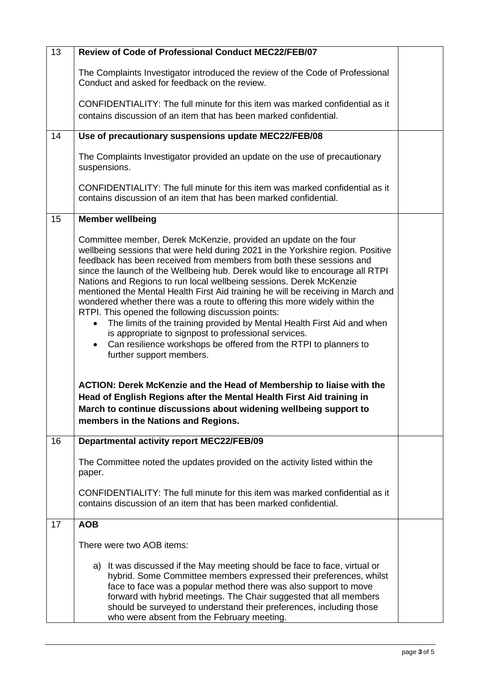| 13 | Review of Code of Professional Conduct MEC22/FEB/07                                                                                                                                                                                                                                                                                                                                                                                                                                                                                                                                                                                                                                                                                                                                                                                                                      |  |
|----|--------------------------------------------------------------------------------------------------------------------------------------------------------------------------------------------------------------------------------------------------------------------------------------------------------------------------------------------------------------------------------------------------------------------------------------------------------------------------------------------------------------------------------------------------------------------------------------------------------------------------------------------------------------------------------------------------------------------------------------------------------------------------------------------------------------------------------------------------------------------------|--|
|    | The Complaints Investigator introduced the review of the Code of Professional<br>Conduct and asked for feedback on the review.                                                                                                                                                                                                                                                                                                                                                                                                                                                                                                                                                                                                                                                                                                                                           |  |
|    | CONFIDENTIALITY: The full minute for this item was marked confidential as it                                                                                                                                                                                                                                                                                                                                                                                                                                                                                                                                                                                                                                                                                                                                                                                             |  |
|    | contains discussion of an item that has been marked confidential.                                                                                                                                                                                                                                                                                                                                                                                                                                                                                                                                                                                                                                                                                                                                                                                                        |  |
| 14 | Use of precautionary suspensions update MEC22/FEB/08                                                                                                                                                                                                                                                                                                                                                                                                                                                                                                                                                                                                                                                                                                                                                                                                                     |  |
|    | The Complaints Investigator provided an update on the use of precautionary<br>suspensions.                                                                                                                                                                                                                                                                                                                                                                                                                                                                                                                                                                                                                                                                                                                                                                               |  |
|    | CONFIDENTIALITY: The full minute for this item was marked confidential as it<br>contains discussion of an item that has been marked confidential.                                                                                                                                                                                                                                                                                                                                                                                                                                                                                                                                                                                                                                                                                                                        |  |
| 15 | <b>Member wellbeing</b>                                                                                                                                                                                                                                                                                                                                                                                                                                                                                                                                                                                                                                                                                                                                                                                                                                                  |  |
|    | Committee member, Derek McKenzie, provided an update on the four<br>wellbeing sessions that were held during 2021 in the Yorkshire region. Positive<br>feedback has been received from members from both these sessions and<br>since the launch of the Wellbeing hub. Derek would like to encourage all RTPI<br>Nations and Regions to run local wellbeing sessions. Derek McKenzie<br>mentioned the Mental Health First Aid training he will be receiving in March and<br>wondered whether there was a route to offering this more widely within the<br>RTPI. This opened the following discussion points:<br>The limits of the training provided by Mental Health First Aid and when<br>$\bullet$<br>is appropriate to signpost to professional services.<br>Can resilience workshops be offered from the RTPI to planners to<br>$\bullet$<br>further support members. |  |
|    | <b>ACTION: Derek McKenzie and the Head of Membership to liaise with the</b><br>Head of English Regions after the Mental Health First Aid training in<br>March to continue discussions about widening wellbeing support to<br>members in the Nations and Regions.                                                                                                                                                                                                                                                                                                                                                                                                                                                                                                                                                                                                         |  |
| 16 | <b>Departmental activity report MEC22/FEB/09</b>                                                                                                                                                                                                                                                                                                                                                                                                                                                                                                                                                                                                                                                                                                                                                                                                                         |  |
|    | The Committee noted the updates provided on the activity listed within the<br>paper.                                                                                                                                                                                                                                                                                                                                                                                                                                                                                                                                                                                                                                                                                                                                                                                     |  |
|    | CONFIDENTIALITY: The full minute for this item was marked confidential as it<br>contains discussion of an item that has been marked confidential.                                                                                                                                                                                                                                                                                                                                                                                                                                                                                                                                                                                                                                                                                                                        |  |
| 17 | <b>AOB</b>                                                                                                                                                                                                                                                                                                                                                                                                                                                                                                                                                                                                                                                                                                                                                                                                                                                               |  |
|    | There were two AOB items:                                                                                                                                                                                                                                                                                                                                                                                                                                                                                                                                                                                                                                                                                                                                                                                                                                                |  |
|    | a) It was discussed if the May meeting should be face to face, virtual or<br>hybrid. Some Committee members expressed their preferences, whilst<br>face to face was a popular method there was also support to move<br>forward with hybrid meetings. The Chair suggested that all members<br>should be surveyed to understand their preferences, including those<br>who were absent from the February meeting.                                                                                                                                                                                                                                                                                                                                                                                                                                                           |  |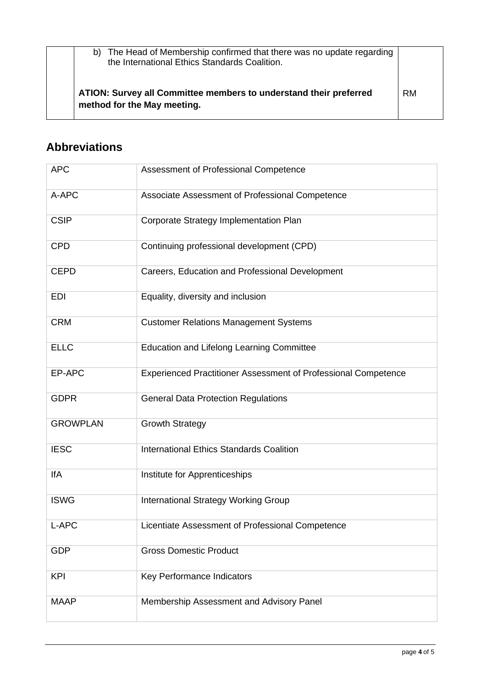| b) The Head of Membership confirmed that there was no update regarding<br>the International Ethics Standards Coalition. |           |
|-------------------------------------------------------------------------------------------------------------------------|-----------|
| ATION: Survey all Committee members to understand their preferred<br>method for the May meeting.                        | <b>RM</b> |

## **Abbreviations**

| <b>APC</b>      | Assessment of Professional Competence                          |
|-----------------|----------------------------------------------------------------|
| A-APC           | Associate Assessment of Professional Competence                |
| <b>CSIP</b>     | Corporate Strategy Implementation Plan                         |
| <b>CPD</b>      | Continuing professional development (CPD)                      |
| <b>CEPD</b>     | Careers, Education and Professional Development                |
| <b>EDI</b>      | Equality, diversity and inclusion                              |
| <b>CRM</b>      | <b>Customer Relations Management Systems</b>                   |
| <b>ELLC</b>     | <b>Education and Lifelong Learning Committee</b>               |
| EP-APC          | Experienced Practitioner Assessment of Professional Competence |
| <b>GDPR</b>     | <b>General Data Protection Regulations</b>                     |
| <b>GROWPLAN</b> | <b>Growth Strategy</b>                                         |
| <b>IESC</b>     | <b>International Ethics Standards Coalition</b>                |
| <b>IfA</b>      | Institute for Apprenticeships                                  |
| <b>ISWG</b>     | <b>International Strategy Working Group</b>                    |
| L-APC           | Licentiate Assessment of Professional Competence               |
| <b>GDP</b>      | <b>Gross Domestic Product</b>                                  |
| <b>KPI</b>      | Key Performance Indicators                                     |
| <b>MAAP</b>     | Membership Assessment and Advisory Panel                       |